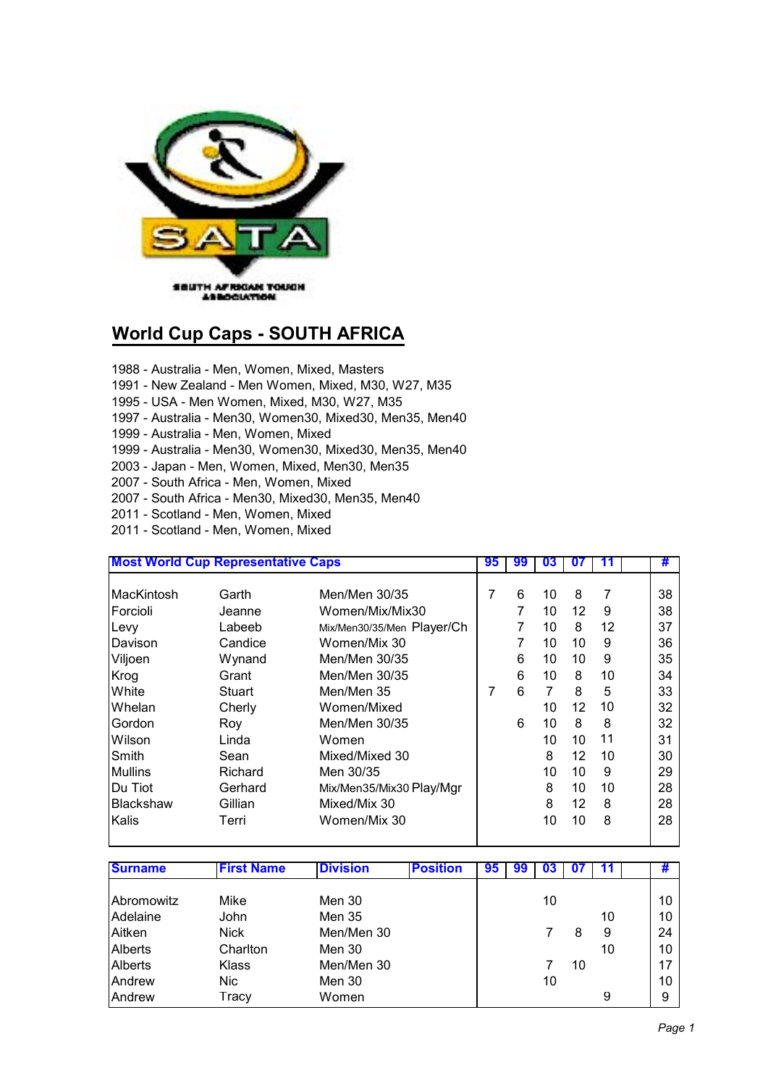

## **World Cup Caps - SOUTH AFRICA**

- 1988 Australia Men, Women, Mixed, Masters
- 1991 New Zealand Men Women, Mixed, M30, W27, M35
- 1995 USA Men Women, Mixed, M30, W27, M35
- 1997 Australia Men30, Women30, Mixed30, Men35, Men40
- 1999 Australia Men, Women, Mixed
- 1999 Australia Men30, Women30, Mixed30, Men35, Men40
- 2003 Japan Men, Women, Mixed, Men30, Men35
- 2007 South Africa Men, Women, Mixed
- 2007 South Africa Men30, Mixed30, Men35, Men40
- 2011 Scotland Men, Women, Mixed
- 2011 Scotland Men, Women, Mixed

| <b>Most World Cup Representative Caps</b> |         |                            | 95 | 99 | 03 |                   |    | #  |
|-------------------------------------------|---------|----------------------------|----|----|----|-------------------|----|----|
|                                           |         |                            |    |    |    |                   |    |    |
| MacKintosh                                | Garth   | Men/Men 30/35              | 7  | 6  | 10 | 8                 | 7  | 38 |
| <b>Forcioli</b>                           | Jeanne  | Women/Mix/Mix30            |    | 7  | 10 | 12                | 9  | 38 |
| Levy                                      | Labeeb  | Mix/Men30/35/Men Player/Ch |    | 7  | 10 | 8                 | 12 | 37 |
| Davison                                   | Candice | Women/Mix 30               |    | 7  | 10 | 10                | 9  | 36 |
| Viljoen                                   | Wynand  | Men/Men 30/35              |    | 6  | 10 | 10                | 9  | 35 |
| Krog                                      | Grant   | Men/Men 30/35              |    | 6  | 10 | 8                 | 10 | 34 |
| <b>White</b>                              | Stuart  | Men/Men 35                 |    | 6  | 7  | 8                 | 5  | 33 |
| Whelan                                    | Cherly  | Women/Mixed                |    |    | 10 | $12 \overline{ }$ | 10 | 32 |
| Gordon                                    | Roy     | Men/Men 30/35              |    | 6  | 10 | 8                 | 8  | 32 |
| Wilson                                    | Linda   | Women                      |    |    | 10 | 10                | 11 | 31 |
| Smith                                     | Sean    | Mixed/Mixed 30             |    |    | 8  | 12                | 10 | 30 |
| <b>Mullins</b>                            | Richard | Men 30/35                  |    |    | 10 | 10                | 9  | 29 |
| IDu Tiot                                  | Gerhard | Mix/Men35/Mix30 Play/Mgr   |    |    | 8  | 10                | 10 | 28 |
| <b>IBlackshaw</b>                         | Gillian | Mixed/Mix 30               |    |    | 8  | 12                | 8  | 28 |
| <b>IKalis</b>                             | Terri   | Women/Mix 30               |    |    | 10 | 10                | 8  | 28 |

| <b>Surname</b> | <b>First Name</b> | <b>Division</b> | <b>Position</b> | 95 | 99 | U3 |    |    | ₩  |
|----------------|-------------------|-----------------|-----------------|----|----|----|----|----|----|
|                |                   |                 |                 |    |    |    |    |    |    |
| Abromowitz     | Mike              | Men 30          |                 |    |    | 10 |    |    | 10 |
| Adelaine       | John              | Men 35          |                 |    |    |    |    | 10 | 10 |
| Aitken         | <b>Nick</b>       | Men/Men 30      |                 |    |    |    | 8  | 9  | 24 |
| Alberts        | Charlton          | Men 30          |                 |    |    |    |    | 10 | 10 |
| Alberts        | Klass             | Men/Men 30      |                 |    |    |    | 10 |    | 17 |
| Andrew         | Nic.              | Men 30          |                 |    |    | 10 |    |    | 10 |
| Andrew         | Tracy             | Women           |                 |    |    |    |    | 9  | 9  |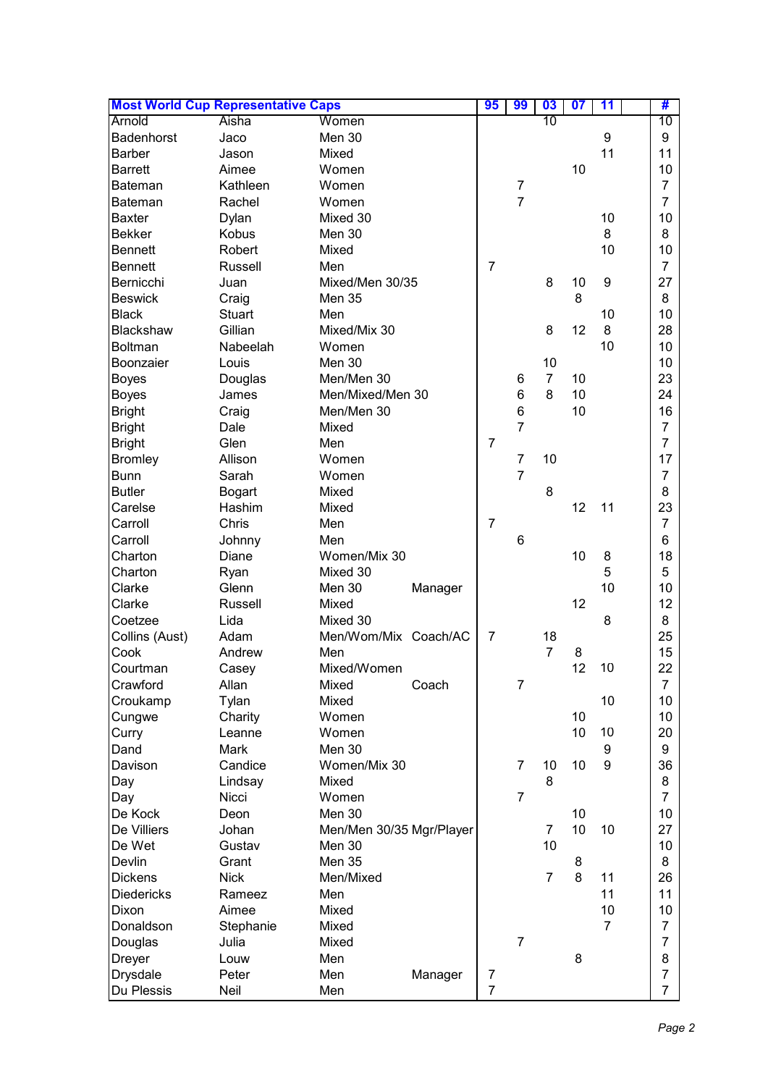| <b>Most World Cup Representative Caps</b> |                  |                          | 95             | 99                  | 03             | $\overline{\mathbf{07}}$ | 11 | #              |
|-------------------------------------------|------------------|--------------------------|----------------|---------------------|----------------|--------------------------|----|----------------|
| Arnold                                    | Aisha            | Women                    |                |                     | 10             |                          |    | 10             |
| Badenhorst                                | Jaco             | Men 30                   |                |                     |                |                          | 9  | 9              |
| Barber                                    | Jason            | Mixed                    |                |                     |                |                          | 11 | 11             |
| <b>Barrett</b>                            | Aimee            | Women                    |                |                     |                | 10                       |    | 10             |
| Bateman                                   | Kathleen         | Women                    |                | $\overline{7}$      |                |                          |    | $\overline{7}$ |
| <b>Bateman</b>                            | Rachel           | Women                    |                | $\overline{7}$      |                |                          |    | $\overline{7}$ |
| <b>Baxter</b>                             | Dylan            | Mixed 30                 |                |                     |                |                          | 10 | 10             |
| <b>Bekker</b>                             | <b>Kobus</b>     | Men 30                   |                |                     |                |                          | 8  | 8              |
| Bennett                                   | Robert           | Mixed                    |                |                     |                |                          | 10 | 10             |
| Bennett                                   | Russell          | Men                      | $\overline{7}$ |                     |                |                          |    | $\overline{7}$ |
| Bernicchi                                 | Juan             | Mixed/Men 30/35          |                |                     | 8              | 10                       | 9  | 27             |
| <b>Beswick</b>                            | Craig            | <b>Men 35</b>            |                |                     |                | 8                        |    | 8              |
| <b>Black</b>                              | <b>Stuart</b>    | Men                      |                |                     |                |                          | 10 | 10             |
| Blackshaw                                 | Gillian          | Mixed/Mix 30             |                |                     | 8              | 12                       | 8  | 28             |
| Boltman                                   | Nabeelah         | Women                    |                |                     |                |                          | 10 | 10             |
| Boonzaier                                 | Louis            | Men 30                   |                |                     | 10             |                          |    | 10             |
|                                           |                  | Men/Men 30               |                | 6                   | $\overline{7}$ | 10                       |    | 23             |
| <b>Boyes</b>                              | Douglas<br>James | Men/Mixed/Men 30         |                | 6                   | 8              | 10                       |    | 24             |
| <b>Boyes</b>                              |                  |                          |                |                     |                |                          |    |                |
| <b>Bright</b>                             | Craig            | Men/Men 30               |                | 6<br>$\overline{7}$ |                | 10                       |    | 16             |
| <b>Bright</b>                             | Dale             | Mixed                    |                |                     |                |                          |    | $\overline{7}$ |
| <b>Bright</b>                             | Glen             | Men                      | $\overline{7}$ |                     |                |                          |    | $\overline{7}$ |
| <b>Bromley</b>                            | Allison          | Women                    |                | $\overline{7}$      | 10             |                          |    | 17             |
| <b>Bunn</b>                               | Sarah            | Women                    |                | $\overline{7}$      |                |                          |    | $\overline{7}$ |
| <b>Butler</b>                             | <b>Bogart</b>    | Mixed                    |                |                     | 8              |                          |    | 8              |
| Carelse                                   | Hashim           | Mixed                    |                |                     |                | 12                       | 11 | 23             |
| Carroll                                   | Chris            | Men                      | $\overline{7}$ |                     |                |                          |    | $\overline{7}$ |
| Carroll                                   | Johnny           | Men                      |                | 6                   |                |                          |    | 6              |
| Charton                                   | Diane            | Women/Mix 30             |                |                     |                | 10                       | 8  | 18             |
| Charton                                   | Ryan             | Mixed 30                 |                |                     |                |                          | 5  | 5              |
| Clarke                                    | Glenn            | Men 30<br>Manager        |                |                     |                |                          | 10 | 10             |
| Clarke                                    | Russell          | Mixed                    |                |                     |                | 12                       |    | 12             |
| Coetzee                                   | Lida             | Mixed 30                 |                |                     |                |                          | 8  | 8              |
| Collins (Aust)                            | Adam             | Men/Wom/Mix Coach/AC     | $\overline{7}$ |                     | 18             |                          |    | 25             |
| Cook                                      | Andrew           | Men                      |                |                     | $\overline{7}$ | 8                        |    | 15             |
| Courtman                                  | Casey            | Mixed/Women              |                |                     |                | 12                       | 10 | 22             |
| Crawford                                  | Allan            | Coach<br>Mixed           |                | $\overline{7}$      |                |                          |    | $\overline{7}$ |
| Croukamp                                  | Tylan            | Mixed                    |                |                     |                |                          | 10 | 10             |
| Cungwe                                    | Charity          | Women                    |                |                     |                | 10                       |    | 10             |
| Curry                                     | Leanne           | Women                    |                |                     |                | 10                       | 10 | 20             |
| Dand                                      | Mark             | Men 30                   |                |                     |                |                          | 9  | 9              |
| Davison                                   | Candice          | Women/Mix 30             |                | $\overline{7}$      | 10             | 10                       | 9  | 36             |
| Day                                       | Lindsay          | Mixed                    |                |                     | 8              |                          |    | 8              |
| Day                                       | Nicci            | Women                    |                | $\overline{7}$      |                |                          |    | $\overline{7}$ |
| De Kock                                   | Deon             | Men 30                   |                |                     |                | 10                       |    | 10             |
| De Villiers                               | Johan            | Men/Men 30/35 Mgr/Player |                |                     | 7              | 10                       | 10 | 27             |
| De Wet                                    | Gustav           | Men 30                   |                |                     | 10             |                          |    | 10             |
| Devlin                                    | Grant            | <b>Men 35</b>            |                |                     |                | 8                        |    | 8              |
| <b>Dickens</b>                            | <b>Nick</b>      | Men/Mixed                |                |                     | $\overline{7}$ | 8                        | 11 | 26             |
| <b>Diedericks</b>                         | Rameez           | Men                      |                |                     |                |                          | 11 | 11             |
| Dixon                                     | Aimee            | Mixed                    |                |                     |                |                          | 10 | 10             |
|                                           |                  |                          |                |                     |                |                          |    | 7              |
| Donaldson                                 | Stephanie        | Mixed                    |                | $\overline{7}$      |                |                          | 7  | $\overline{7}$ |
| Douglas                                   | Julia            | Mixed                    |                |                     |                |                          |    |                |
| <b>Dreyer</b>                             | Louw             | Men                      |                |                     |                | 8                        |    | 8              |
| Drysdale                                  | Peter            | Men<br>Manager           | 7              |                     |                |                          |    | $\overline{7}$ |
| Du Plessis                                | Neil             | Men                      | $\overline{7}$ |                     |                |                          |    | $\overline{7}$ |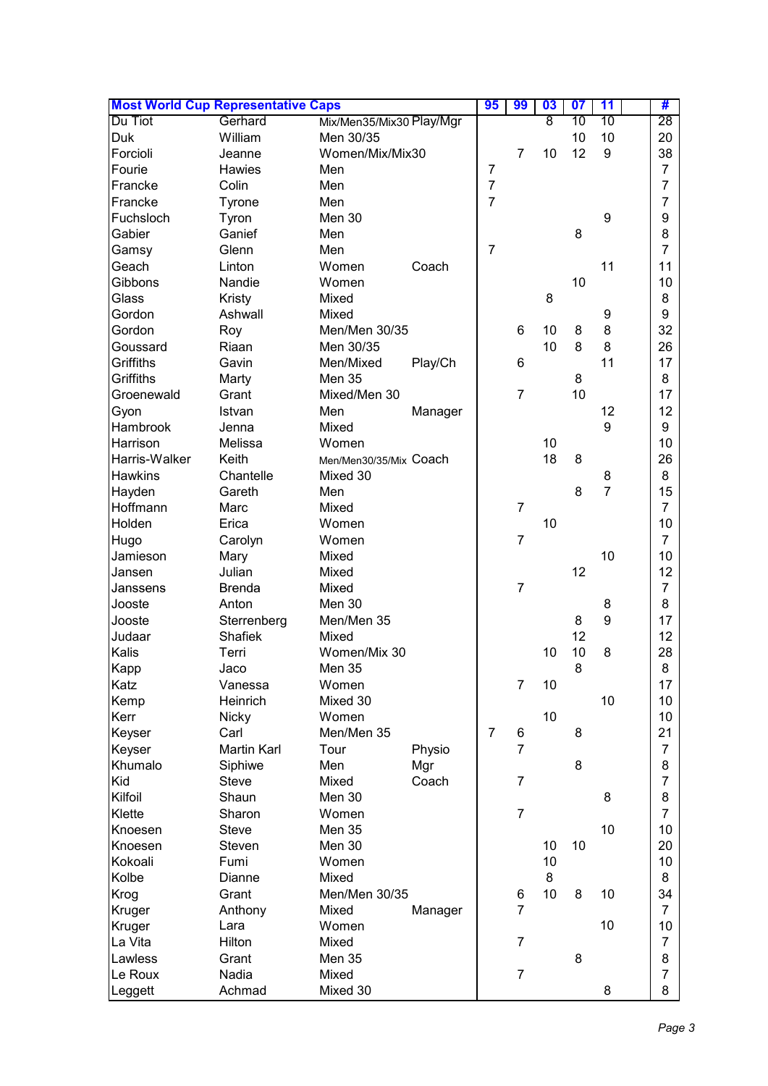| <b>Most World Cup Representative Caps</b> |                |                          | 95      | 99             | 03             | 07 | 11 | #              |                |
|-------------------------------------------|----------------|--------------------------|---------|----------------|----------------|----|----|----------------|----------------|
| Du Tiot                                   | Gerhard        | Mix/Men35/Mix30 Play/Mgr |         |                |                | 8  | 10 | 10             | 28             |
| Duk                                       | William        | Men 30/35                |         |                |                |    | 10 | 10             | 20             |
| Forcioli                                  | Jeanne         | Women/Mix/Mix30          |         |                | $\overline{7}$ | 10 | 12 | 9              | 38             |
| Fourie                                    | Hawies         | Men                      |         | $\overline{7}$ |                |    |    |                | $\overline{7}$ |
| Francke                                   | Colin          | Men                      |         | $\overline{7}$ |                |    |    |                | $\overline{7}$ |
| Francke                                   | Tyrone         | Men                      |         | $\overline{7}$ |                |    |    |                | 7              |
| Fuchsloch                                 | Tyron          | Men 30                   |         |                |                |    |    | 9              | 9              |
| Gabier                                    | Ganief         | Men                      |         |                |                |    | 8  |                | 8              |
| Gamsy                                     | Glenn          | Men                      |         | $\overline{7}$ |                |    |    |                | $\overline{7}$ |
| Geach                                     | Linton         | Women                    | Coach   |                |                |    |    | 11             | 11             |
| Gibbons                                   | Nandie         | Women                    |         |                |                |    | 10 |                | 10             |
|                                           |                |                          |         |                |                |    |    |                |                |
| Glass                                     | Kristy         | Mixed                    |         |                |                | 8  |    |                | 8              |
| Gordon                                    | Ashwall        | Mixed                    |         |                |                |    |    | 9              | 9              |
| Gordon                                    | Roy            | Men/Men 30/35            |         |                | 6              | 10 | 8  | 8              | 32             |
| Goussard                                  | Riaan          | Men 30/35                |         |                |                | 10 | 8  | 8              | 26             |
| Griffiths                                 | Gavin          | Men/Mixed                | Play/Ch |                | 6              |    |    | 11             | 17             |
| Griffiths                                 | Marty          | Men 35                   |         |                |                |    | 8  |                | 8              |
| Groenewald                                | Grant          | Mixed/Men 30             |         |                | $\overline{7}$ |    | 10 |                | 17             |
| Gyon                                      | Istvan         | Men                      | Manager |                |                |    |    | 12             | 12             |
| Hambrook                                  | Jenna          | Mixed                    |         |                |                |    |    | 9              | 9              |
| Harrison                                  | Melissa        | Women                    |         |                |                | 10 |    |                | 10             |
| Harris-Walker                             | Keith          | Men/Men30/35/Mix Coach   |         |                |                | 18 | 8  |                | 26             |
| Hawkins                                   | Chantelle      | Mixed 30                 |         |                |                |    |    | 8              | 8              |
| Hayden                                    | Gareth         | Men                      |         |                |                |    | 8  | $\overline{7}$ | 15             |
| Hoffmann                                  | Marc           | Mixed                    |         |                | $\overline{7}$ |    |    |                | $\overline{7}$ |
| Holden                                    | Erica          | Women                    |         |                |                | 10 |    |                | 10             |
| Hugo                                      | Carolyn        | Women                    |         |                | $\overline{7}$ |    |    |                | $\overline{7}$ |
| Jamieson                                  | Mary           | Mixed                    |         |                |                |    |    | 10             | 10             |
| Jansen                                    | Julian         | Mixed                    |         |                |                |    | 12 |                | 12             |
| Janssens                                  | <b>Brenda</b>  | Mixed                    |         |                | $\overline{7}$ |    |    |                | $\overline{7}$ |
| Jooste                                    | Anton          | Men 30                   |         |                |                |    |    | 8              | 8              |
| Jooste                                    | Sterrenberg    | Men/Men 35               |         |                |                |    | 8  | 9              | 17             |
| Judaar                                    | <b>Shafiek</b> | Mixed                    |         |                |                |    | 12 |                | 12             |
| Kalis                                     |                | Women/Mix 30             |         |                |                | 10 | 10 | 8              |                |
|                                           | Terri          |                          |         |                |                |    |    |                | 28             |
| Kapp                                      | Jaco           | Men 35                   |         |                |                |    | 8  |                | 8              |
| Katz                                      | Vanessa        | Women                    |         |                | $\overline{7}$ | 10 |    |                | 17             |
| Kemp                                      | Heinrich       | Mixed 30                 |         |                |                |    |    | 10             | 10             |
| Kerr                                      | <b>Nicky</b>   | Women                    |         |                |                | 10 |    |                | 10             |
| Keyser                                    | Carl           | Men/Men 35               |         | $\overline{7}$ | 6              |    | 8  |                | 21             |
| Keyser                                    | Martin Karl    | Tour                     | Physio  |                | $\overline{7}$ |    |    |                | $\overline{7}$ |
| Khumalo                                   | Siphiwe        | Men                      | Mgr     |                |                |    | 8  |                | 8              |
| Kid                                       | <b>Steve</b>   | Mixed                    | Coach   |                | $\overline{7}$ |    |    |                | $\overline{7}$ |
| Kilfoil                                   | Shaun          | Men 30                   |         |                |                |    |    | 8              | 8              |
| Klette                                    | Sharon         | Women                    |         |                | $\overline{7}$ |    |    |                | $\overline{7}$ |
| Knoesen                                   | <b>Steve</b>   | <b>Men 35</b>            |         |                |                |    |    | 10             | 10             |
| Knoesen                                   | Steven         | Men 30                   |         |                |                | 10 | 10 |                | 20             |
| Kokoali                                   | Fumi           | Women                    |         |                |                | 10 |    |                | 10             |
| Kolbe                                     | Dianne         | Mixed                    |         |                |                | 8  |    |                | 8              |
| Krog                                      | Grant          | Men/Men 30/35            |         |                | 6              | 10 | 8  | 10             | 34             |
| Kruger                                    | Anthony        | Mixed                    | Manager |                | $\overline{7}$ |    |    |                | $\overline{7}$ |
| Kruger                                    | Lara           | Women                    |         |                |                |    |    | 10             | 10             |
| La Vita                                   | Hilton         | Mixed                    |         |                | $\overline{7}$ |    |    |                | $\overline{7}$ |
| Lawless                                   | Grant          | <b>Men 35</b>            |         |                |                |    | 8  |                | 8              |
| Le Roux                                   | Nadia          | Mixed                    |         |                | $\overline{7}$ |    |    |                | $\overline{7}$ |
|                                           |                |                          |         |                |                |    |    |                |                |
| Leggett                                   | Achmad         | Mixed 30                 |         |                |                |    |    | 8              | 8              |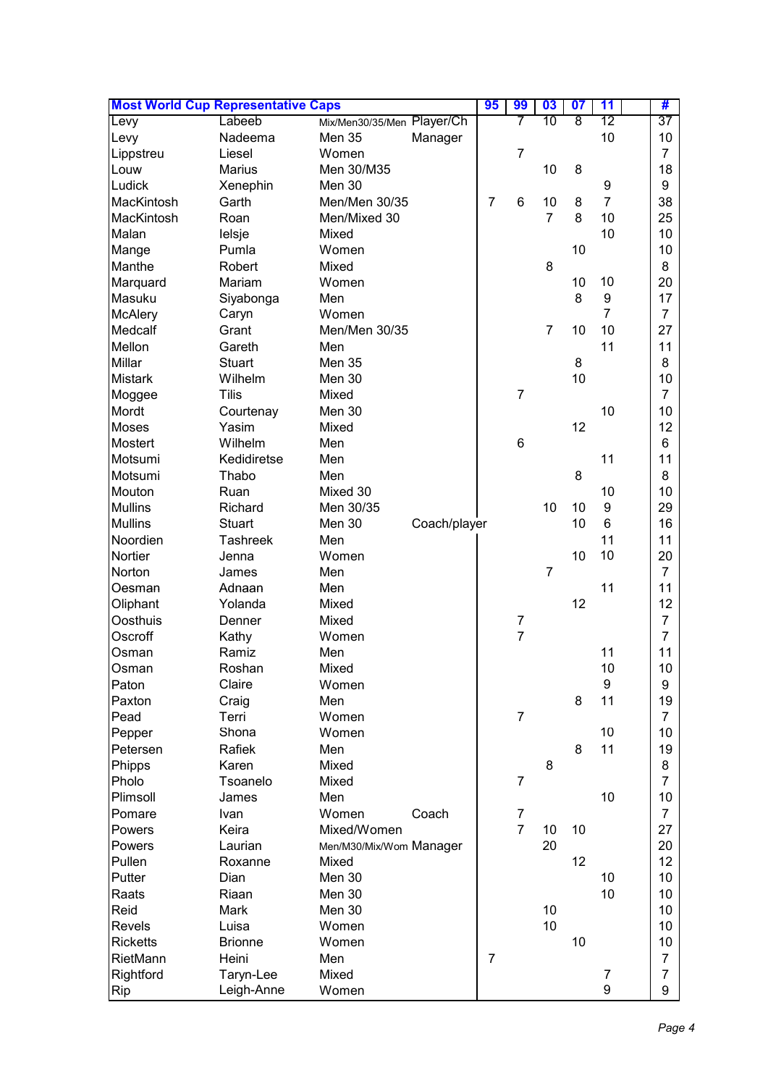| <b>Most World Cup Representative Caps</b> |                 |                            |              |                | 99             | 03             | $\overline{\mathbf{07}}$ | 11               | #              |
|-------------------------------------------|-----------------|----------------------------|--------------|----------------|----------------|----------------|--------------------------|------------------|----------------|
| Levy                                      | Labeeb          | Mix/Men30/35/Men Player/Ch |              |                |                | 10             | 8                        | 12               | 37             |
| Levy                                      | Nadeema         | Men 35                     | Manager      |                |                |                |                          | 10               | 10             |
| Lippstreu                                 | Liesel          | Women                      |              |                | $\overline{7}$ |                |                          |                  | $\overline{7}$ |
| Louw                                      | Marius          | Men 30/M35                 |              |                |                | 10             | 8                        |                  | 18             |
| Ludick                                    | Xenephin        | Men 30                     |              |                |                |                |                          | 9                | 9              |
| MacKintosh                                | Garth           | Men/Men 30/35              |              | $\overline{7}$ | 6              | 10             | 8                        | $\overline{7}$   | 38             |
| MacKintosh                                | Roan            | Men/Mixed 30               |              |                |                | $\overline{7}$ | 8                        | 10               | 25             |
| Malan                                     | lelsje          | Mixed                      |              |                |                |                |                          | 10               | 10             |
| Mange                                     | Pumla           | Women                      |              |                |                |                | 10                       |                  | 10             |
| Manthe                                    | Robert          | Mixed                      |              |                |                | 8              |                          |                  | 8              |
| Marquard                                  | Mariam          | Women                      |              |                |                |                | 10                       | 10               | 20             |
| Masuku                                    | Siyabonga       | Men                        |              |                |                |                | 8                        | 9                | 17             |
| <b>McAlery</b>                            | Caryn           | Women                      |              |                |                |                |                          | $\overline{7}$   | $\overline{7}$ |
| Medcalf                                   | Grant           | Men/Men 30/35              |              |                |                | $\overline{7}$ | 10                       | 10               | 27             |
| Mellon                                    | Gareth          | Men                        |              |                |                |                |                          | 11               | 11             |
| Millar                                    | <b>Stuart</b>   | <b>Men 35</b>              |              |                |                |                | 8                        |                  | 8              |
| <b>Mistark</b>                            | Wilhelm         | Men 30                     |              |                |                |                | 10                       |                  | 10             |
| Moggee                                    | <b>Tilis</b>    | Mixed                      |              |                | $\overline{7}$ |                |                          |                  | $\overline{7}$ |
| Mordt                                     | Courtenay       | Men 30                     |              |                |                |                |                          | 10               | 10             |
| <b>Moses</b>                              | Yasim           | Mixed                      |              |                |                |                | 12                       |                  | 12             |
| <b>Mostert</b>                            | Wilhelm         | Men                        |              |                | 6              |                |                          |                  | 6              |
| Motsumi                                   | Kedidiretse     | Men                        |              |                |                |                |                          | 11               | 11             |
| Motsumi                                   | Thabo           | Men                        |              |                |                |                | 8                        |                  | 8              |
| Mouton                                    | Ruan            | Mixed 30                   |              |                |                |                |                          | 10               | 10             |
| <b>Mullins</b>                            | Richard         | Men 30/35                  |              |                |                | 10             | 10                       | 9                | 29             |
| <b>Mullins</b>                            | <b>Stuart</b>   | Men 30                     | Coach/player |                |                |                | 10                       | 6                | 16             |
| Noordien                                  | <b>Tashreek</b> | Men                        |              |                |                |                |                          | 11               | 11             |
| Nortier                                   | Jenna           | Women                      |              |                |                |                | 10                       | 10               | 20             |
| Norton                                    | James           | Men                        |              |                |                | $\overline{7}$ |                          |                  | $\overline{7}$ |
| Oesman                                    | Adnaan          | Men                        |              |                |                |                |                          | 11               | 11             |
| Oliphant                                  | Yolanda         | Mixed                      |              |                |                |                | 12                       |                  | 12             |
| Oosthuis                                  | Denner          | Mixed                      |              |                | $\overline{7}$ |                |                          |                  | $\overline{7}$ |
| Oscroff                                   | Kathy           | Women                      |              |                | $\overline{7}$ |                |                          |                  | $\overline{7}$ |
| Osman                                     | Ramiz           | Men                        |              |                |                |                |                          | 11               | 11             |
| Osman                                     | Roshan          | Mixed                      |              |                |                |                |                          | 10               | 10             |
| Paton                                     | Claire          | Women                      |              |                |                |                |                          | $\boldsymbol{9}$ | 9              |
| Paxton                                    | Craig           | Men                        |              |                |                |                | 8                        | 11               | 19             |
| Pead                                      | Terri           | Women                      |              |                | $\overline{7}$ |                |                          |                  | $\overline{7}$ |
| Pepper                                    | Shona           | Women                      |              |                |                |                |                          | 10               | 10             |
| Petersen                                  | Rafiek          | Men                        |              |                |                |                | 8                        | 11               | 19             |
| Phipps                                    | Karen           | Mixed                      |              |                |                | 8              |                          |                  | 8              |
| Pholo                                     | Tsoanelo        | Mixed                      |              |                | $\overline{7}$ |                |                          |                  | $\overline{7}$ |
| Plimsoll                                  | James           | Men                        |              |                |                |                |                          | 10               | 10             |
| Pomare                                    | Ivan            | Women<br>Coach             |              |                | $\overline{7}$ |                |                          |                  | $\overline{7}$ |
| Powers                                    | Keira           | Mixed/Women                |              |                | $\overline{7}$ | 10             | 10                       |                  | 27             |
| Powers                                    | Laurian         | Men/M30/Mix/Wom Manager    |              |                |                | 20             |                          |                  | 20             |
| Pullen                                    | Roxanne         | Mixed                      |              |                |                |                | 12                       |                  | 12             |
| Putter                                    | Dian            | Men 30                     |              |                |                |                |                          | 10               | 10             |
| Raats                                     | Riaan           | Men 30                     |              |                |                |                |                          | 10               | 10             |
| Reid                                      | Mark            | Men 30                     |              |                |                | 10             |                          |                  | 10             |
| Revels                                    | Luisa           | Women                      |              |                |                | 10             |                          |                  | 10             |
| <b>Ricketts</b>                           | <b>Brionne</b>  | Women                      |              |                |                |                | 10                       |                  | 10             |
| RietMann                                  | Heini           | Men                        |              | $\overline{7}$ |                |                |                          |                  | $\overline{7}$ |
| Rightford                                 | Taryn-Lee       | Mixed                      |              |                |                |                |                          | 7                | $\overline{7}$ |
| Rip                                       | Leigh-Anne      | Women                      |              |                |                |                |                          | 9                | 9              |
|                                           |                 |                            |              |                |                |                |                          |                  |                |